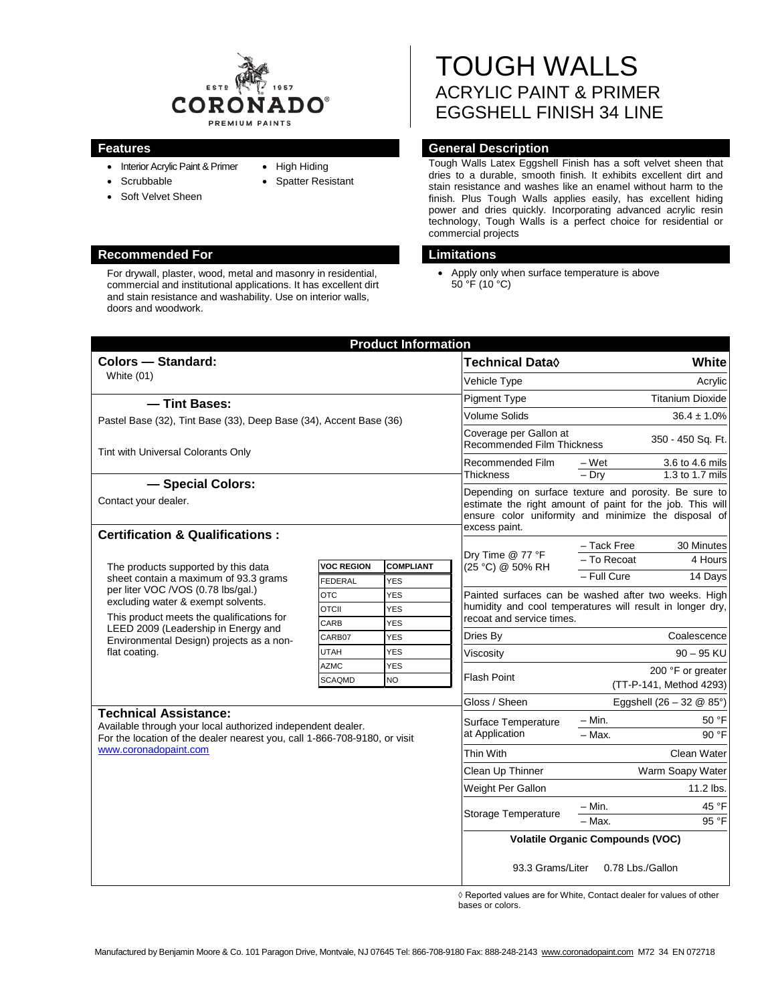

- Interior Acrylic Paint & Primer • Scrubbable
- 
- Soft Velvet Sheen
- High Hiding
- Spatter Resistant

# **Recommended For Limitations**

For drywall, plaster, wood, metal and masonry in residential, commercial and institutional applications. It has excellent dirt and stain resistance and washability. Use on interior walls, doors and woodwork.

# TOUGH WALLS ACRYLIC PAINT & PRIMER EGGSHELL FINISH 34 LINE

# **Features General Description**

Tough Walls Latex Eggshell Finish has a soft velvet sheen that dries to a durable, smooth finish. It exhibits excellent dirt and stain resistance and washes like an enamel without harm to the finish. Plus Tough Walls applies easily, has excellent hiding power and dries quickly. Incorporating advanced acrylic resin technology, Tough Walls is a perfect choice for residential or commercial projects

• Apply only when surface temperature is above  $50^{\circ}$ F (10 $^{\circ}$ C)

|                                                                                                                                                                                                                                                                                                           |                            | <b>Product Information</b> |                                                                                                                                                                                             |                                                                                                                   |                                    |  |
|-----------------------------------------------------------------------------------------------------------------------------------------------------------------------------------------------------------------------------------------------------------------------------------------------------------|----------------------------|----------------------------|---------------------------------------------------------------------------------------------------------------------------------------------------------------------------------------------|-------------------------------------------------------------------------------------------------------------------|------------------------------------|--|
| <b>Colors - Standard:</b><br>White $(01)$<br>- Tint Bases:                                                                                                                                                                                                                                                |                            |                            | <b>Technical Data</b> ◊                                                                                                                                                                     |                                                                                                                   | <b>White</b>                       |  |
|                                                                                                                                                                                                                                                                                                           |                            |                            | Vehicle Type                                                                                                                                                                                |                                                                                                                   | Acrylic                            |  |
|                                                                                                                                                                                                                                                                                                           |                            |                            | <b>Pigment Type</b>                                                                                                                                                                         | <b>Titanium Dioxide</b>                                                                                           |                                    |  |
| Pastel Base (32), Tint Base (33), Deep Base (34), Accent Base (36)                                                                                                                                                                                                                                        |                            |                            | <b>Volume Solids</b>                                                                                                                                                                        | $36.4 \pm 1.0\%$                                                                                                  |                                    |  |
| Tint with Universal Colorants Only                                                                                                                                                                                                                                                                        |                            |                            | Coverage per Gallon at<br><b>Recommended Film Thickness</b>                                                                                                                                 | 350 - 450 Sq. Ft.                                                                                                 |                                    |  |
|                                                                                                                                                                                                                                                                                                           |                            |                            | Recommended Film                                                                                                                                                                            | – Wet                                                                                                             | 3.6 to 4.6 mils                    |  |
| - Special Colors:                                                                                                                                                                                                                                                                                         |                            |                            | Thickness                                                                                                                                                                                   | $-$ Drv                                                                                                           | 1.3 to 1.7 mils                    |  |
| Contact your dealer.<br><b>Certification &amp; Qualifications:</b>                                                                                                                                                                                                                                        |                            |                            | Depending on surface texture and porosity. Be sure to<br>estimate the right amount of paint for the job. This will<br>ensure color uniformity and minimize the disposal of<br>excess paint. |                                                                                                                   |                                    |  |
|                                                                                                                                                                                                                                                                                                           |                            |                            |                                                                                                                                                                                             | - Tack Free                                                                                                       | 30 Minutes                         |  |
| The products supported by this data<br>sheet contain a maximum of 93.3 grams<br>per liter VOC /VOS (0.78 lbs/gal.)<br>excluding water & exempt solvents.<br>This product meets the qualifications for<br>LEED 2009 (Leadership in Energy and<br>Environmental Design) projects as a non-<br>flat coating. | <b>VOC REGION</b>          | <b>COMPLIANT</b>           | Dry Time @ 77 °F<br>(25 °C) @ 50% RH                                                                                                                                                        | - To Recoat                                                                                                       | 4 Hours                            |  |
|                                                                                                                                                                                                                                                                                                           | FEDERAL                    | <b>YES</b>                 |                                                                                                                                                                                             | - Full Cure                                                                                                       | 14 Days                            |  |
|                                                                                                                                                                                                                                                                                                           | <b>OTC</b>                 | <b>YES</b>                 |                                                                                                                                                                                             | Painted surfaces can be washed after two weeks. High<br>humidity and cool temperatures will result in longer dry, |                                    |  |
|                                                                                                                                                                                                                                                                                                           | <b>OTCII</b>               | <b>YES</b>                 |                                                                                                                                                                                             |                                                                                                                   |                                    |  |
|                                                                                                                                                                                                                                                                                                           | CARB                       | <b>YES</b>                 | recoat and service times.                                                                                                                                                                   |                                                                                                                   |                                    |  |
|                                                                                                                                                                                                                                                                                                           | CARB07                     | <b>YES</b>                 | Dries By                                                                                                                                                                                    |                                                                                                                   | Coalescence                        |  |
|                                                                                                                                                                                                                                                                                                           | <b>UTAH</b><br><b>AZMC</b> | <b>YES</b><br><b>YES</b>   | Viscosity                                                                                                                                                                                   |                                                                                                                   | $90 - 95$ KU                       |  |
|                                                                                                                                                                                                                                                                                                           | <b>SCAQMD</b>              | <b>NO</b>                  | <b>Flash Point</b>                                                                                                                                                                          | 200 °F or greater<br>(TT-P-141, Method 4293)                                                                      |                                    |  |
|                                                                                                                                                                                                                                                                                                           |                            |                            | Gloss / Sheen                                                                                                                                                                               |                                                                                                                   | Eggshell $(26 - 32 \& 85^{\circ})$ |  |
| <b>Technical Assistance:</b><br>Available through your local authorized independent dealer.<br>For the location of the dealer nearest you, call 1-866-708-9180, or visit<br>www.coronadopaint.com                                                                                                         |                            |                            | Surface Temperature<br>at Application                                                                                                                                                       | – Min.                                                                                                            | 50 °F                              |  |
|                                                                                                                                                                                                                                                                                                           |                            |                            |                                                                                                                                                                                             | - Max.                                                                                                            | 90 °F                              |  |
|                                                                                                                                                                                                                                                                                                           |                            |                            | Thin With                                                                                                                                                                                   | Clean Water                                                                                                       |                                    |  |
|                                                                                                                                                                                                                                                                                                           |                            |                            | Clean Up Thinner                                                                                                                                                                            | Warm Soapy Water                                                                                                  |                                    |  |
|                                                                                                                                                                                                                                                                                                           |                            |                            | Weight Per Gallon                                                                                                                                                                           | 11.2 lbs.                                                                                                         |                                    |  |
|                                                                                                                                                                                                                                                                                                           |                            |                            |                                                                                                                                                                                             | $- Min.$                                                                                                          | 45 °F                              |  |
|                                                                                                                                                                                                                                                                                                           |                            |                            | Storage Temperature                                                                                                                                                                         | - Max.                                                                                                            | 95 °F                              |  |
|                                                                                                                                                                                                                                                                                                           |                            |                            | <b>Volatile Organic Compounds (VOC)</b>                                                                                                                                                     |                                                                                                                   |                                    |  |
|                                                                                                                                                                                                                                                                                                           |                            |                            | 93.3 Grams/Liter<br>0.78 Lbs./Gallon                                                                                                                                                        |                                                                                                                   |                                    |  |

◊ Reported values are for White, Contact dealer for values of other bases or colors.